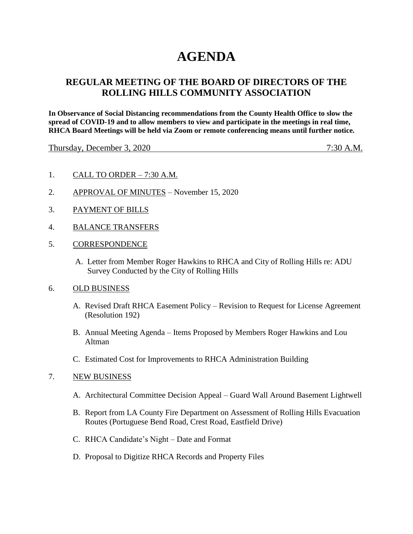# **AGENDA**

## **REGULAR MEETING OF THE BOARD OF DIRECTORS OF THE ROLLING HILLS COMMUNITY ASSOCIATION**

**In Observance of Social Distancing recommendations from the County Health Office to slow the spread of COVID-19 and to allow members to view and participate in the meetings in real time, RHCA Board Meetings will be held via Zoom or remote conferencing means until further notice.** 

Thursday, December 3, 2020 7:30 A.M.

- 1. CALL TO ORDER 7:30 A.M.
- 2. APPROVAL OF MINUTES November 15, 2020
- 3. PAYMENT OF BILLS
- 4. BALANCE TRANSFERS
- 5. CORRESPONDENCE
	- A. Letter from Member Roger Hawkins to RHCA and City of Rolling Hills re: ADU Survey Conducted by the City of Rolling Hills

#### 6. OLD BUSINESS

- A. Revised Draft RHCA Easement Policy Revision to Request for License Agreement (Resolution 192)
- B. Annual Meeting Agenda Items Proposed by Members Roger Hawkins and Lou Altman
- C. Estimated Cost for Improvements to RHCA Administration Building

#### 7. NEW BUSINESS

- A. Architectural Committee Decision Appeal Guard Wall Around Basement Lightwell
- B. Report from LA County Fire Department on Assessment of Rolling Hills Evacuation Routes (Portuguese Bend Road, Crest Road, Eastfield Drive)
- C. RHCA Candidate's Night Date and Format
- D. Proposal to Digitize RHCA Records and Property Files